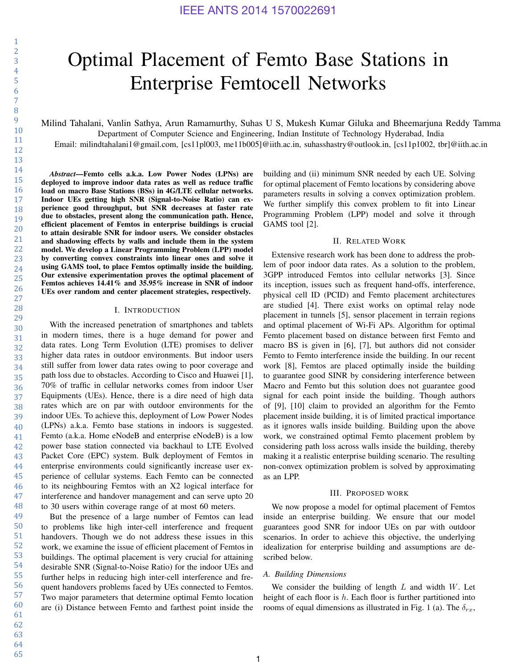1

# Optimal Placement of Femto Base Stations in Enterprise Femtocell Networks

Milind Tahalani, Vanlin Sathya, Arun Ramamurthy, Suhas U S, Mukesh Kumar Giluka and Bheemarjuna Reddy Tamma Department of Computer Science and Engineering, Indian Institute of Technology Hyderabad, India

Email: milindtahalani1@gmail.com, [cs11pl003, me11b005]@iith.ac.in, suhasshastry@outlook.in, [cs11p1002, tbr]@iith.ac.in

*Abstract*—Femto cells a.k.a. Low Power Nodes (LPNs) are deployed to improve indoor data rates as well as reduce traffic load on macro Base Stations (BSs) in 4G/LTE cellular networks. Indoor UEs getting high SNR (Signal-to-Noise Ratio) can experience good throughput, but SNR decreases at faster rate due to obstacles, present along the communication path. Hence, efficient placement of Femtos in enterprise buildings is crucial to attain desirable SNR for indoor users. We consider obstacles and shadowing effects by walls and include them in the system model. We develop a Linear Programming Problem (LPP) model by converting convex constraints into linear ones and solve it using GAMS tool, to place Femtos optimally inside the building. Our extensive experimentation proves the optimal placement of Femtos achieves 14.41% and 35.95% increase in SNR of indoor UEs over random and center placement strategies, respectively.

## I. INTRODUCTION

With the increased penetration of smartphones and tablets in modern times, there is a huge demand for power and data rates. Long Term Evolution (LTE) promises to deliver higher data rates in outdoor environments. But indoor users still suffer from lower data rates owing to poor coverage and path loss due to obstacles. According to Cisco and Huawei [1], 70% of traffic in cellular networks comes from indoor User Equipments (UEs). Hence, there is a dire need of high data rates which are on par with outdoor environments for the indoor UEs. To achieve this, deployment of Low Power Nodes (LPNs) a.k.a. Femto base stations in indoors is suggested. Femto (a.k.a. Home eNodeB and enterprise eNodeB) is a low power base station connected via backhaul to LTE Evolved Packet Core (EPC) system. Bulk deployment of Femtos in enterprise environments could significantly increase user experience of cellular systems. Each Femto can be connected to its neighbouring Femtos with an X2 logical interface for interference and handover management and can serve upto 20 to 30 users within coverage range of at most 60 meters.

But the presence of a large number of Femtos can lead to problems like high inter-cell interference and frequent handovers. Though we do not address these issues in this work, we examine the issue of efficient placement of Femtos in buildings. The optimal placement is very crucial for attaining desirable SNR (Signal-to-Noise Ratio) for the indoor UEs and further helps in reducing high inter-cell interference and frequent handovers problems faced by UEs connected to Femtos. Two major parameters that determine optimal Femto location are (i) Distance between Femto and farthest point inside the

building and (ii) minimum SNR needed by each UE. Solving for optimal placement of Femto locations by considering above parameters results in solving a convex optimization problem. We further simplify this convex problem to fit into Linear Programming Problem (LPP) model and solve it through GAMS tool [2].

## II. RELATED WORK

Extensive research work has been done to address the problem of poor indoor data rates. As a solution to the problem, 3GPP introduced Femtos into cellular networks [3]. Since its inception, issues such as frequent hand-offs, interference, physical cell ID (PCID) and Femto placement architectures are studied [4]. There exist works on optimal relay node placement in tunnels [5], sensor placement in terrain regions and optimal placement of Wi-Fi APs. Algorithm for optimal Femto placement based on distance between first Femto and macro BS is given in [6], [7], but authors did not consider Femto to Femto interference inside the building. In our recent work [8], Femtos are placed optimally inside the building to guarantee good SINR by considering interference between Macro and Femto but this solution does not guarantee good signal for each point inside the building. Though authors of [9], [10] claim to provided an algorithm for the Femto placement inside building, it is of limited practical importance as it ignores walls inside building. Building upon the above work, we constrained optimal Femto placement problem by considering path loss across walls inside the building, thereby making it a realistic enterprise building scenario. The resulting non-convex optimization problem is solved by approximating as an LPP.

#### III. PROPOSED WORK

We now propose a model for optimal placement of Femtos inside an enterprise building. We ensure that our model guarantees good SNR for indoor UEs on par with outdoor scenarios. In order to achieve this objective, the underlying idealization for enterprise building and assumptions are described below.

## *A. Building Dimensions*

We consider the building of length  $L$  and width  $W$ . Let height of each floor is  $h$ . Each floor is further partitioned into rooms of equal dimensions as illustrated in Fig. 1 (a). The  $\delta_{rx}$ ,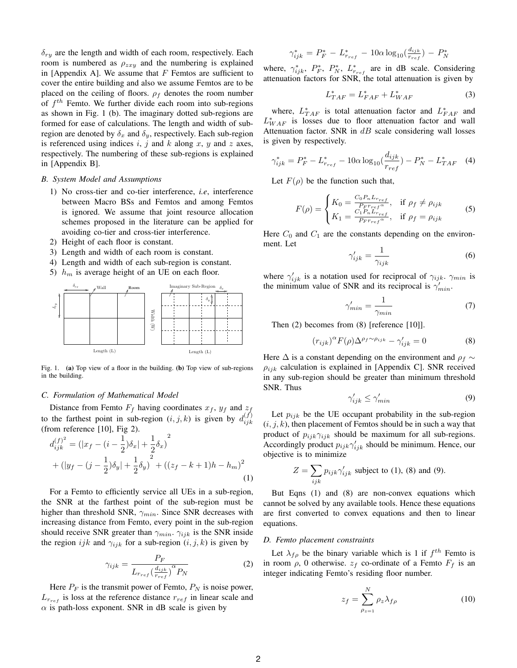$\delta_{ru}$  are the length and width of each room, respectively. Each room is numbered as  $\rho_{zxy}$  and the numbering is explained in [Appendix A]. We assume that  $F$  Femtos are sufficient to cover the entire building and also we assume Femtos are to be placed on the ceiling of floors.  $\rho_f$  denotes the room number of  $f<sup>th</sup>$  Femto. We further divide each room into sub-regions as shown in Fig. 1 (b). The imaginary dotted sub-regions are formed for ease of calculations. The length and width of subregion are denoted by  $\delta_x$  and  $\delta_y$ , respectively. Each sub-region is referenced using indices  $i, j$  and  $k$  along  $x, y$  and  $z$  axes, respectively. The numbering of these sub-regions is explained in [Appendix B].

## *B. System Model and Assumptions*

- 1) No cross-tier and co-tier interference, *i.e*, interference between Macro BSs and Femtos and among Femtos is ignored. We assume that joint resource allocation schemes proposed in the literature can be applied for avoiding co-tier and cross-tier interference.
- 2) Height of each floor is constant.
- 3) Length and width of each room is constant.
- 4) Length and width of each sub-region is constant.
- 5)  $h_m$  is average height of an UE on each floor.



Fig. 1. (a) Top view of a floor in the building. (b) Top view of sub-regions in the building.

## *C. Formulation of Mathematical Model*

Distance from Femto  $F_f$  having coordinates  $x_f$ ,  $y_f$  and  $z_f$ to the farthest point in sub-region  $(i, j, k)$  is given by  $d_{ijk}^{(f)}$ ijk (from reference [10], Fig 2).

$$
d_{ijk}^{(f)^2} = (|x_f - (i - \frac{1}{2})\delta_x| + \frac{1}{2}\delta_x)^2
$$
  
+ 
$$
(|y_f - (j - \frac{1}{2})\delta_y| + \frac{1}{2}\delta_y)^2 + ((z_f - k + 1)h - h_m)^2
$$

$$
(1)
$$

For a Femto to efficiently service all UEs in a sub-region, the SNR at the farthest point of the sub-region must be higher than threshold SNR,  $\gamma_{min}$ . Since SNR decreases with increasing distance from Femto, every point in the sub-region should receive SNR greater than  $\gamma_{min}$ .  $\gamma_{ijk}$  is the SNR inside the region ijk and  $\gamma_{ijk}$  for a sub-region  $(i, j, k)$  is given by

$$
\gamma_{ijk} = \frac{P_F}{L_{r_{ref}} \left(\frac{d_{ijk}}{r_{ref}}\right)^{\alpha} P_N}
$$
\n(2)

Here  $P_F$  is the transmit power of Femto,  $P_N$  is noise power,  $L_{r_{ref}}$  is loss at the reference distance  $r_{ref}$  in linear scale and  $\alpha$  is path-loss exponent. SNR in dB scale is given by

$$
\gamma_{ijk}^* = P_F^* - L_{r_{ref}}^* - 10\alpha \log_{10}(\frac{d_{ijk}}{r_{ref}}) - P_N^*
$$

where,  $\gamma_{ijk}^*$ ,  $P_F^*$ ,  $P_N^*$ ,  $L_{r_{ref}}^*$  are in dB scale. Considering attenuation factors for SNR, the total attenuation is given by

$$
L_{TAF}^* = L_{FAF}^* + L_{WAF}^* \tag{3}
$$

where,  $L_{TAF}^{*}$  is total attenuation factor and  $L_{FAF}^{*}$  and  $L^*_{WAF}$  is losses due to floor attenuation factor and wall Attenuation factor. SNR in  $dB$  scale considering wall losses is given by respectively.

$$
\gamma_{ijk}^* = P_F^* - L_{r_{ref}}^* - 10\alpha \log_{10}(\frac{d_{ijk}}{r_{ref}}) - P_N^* - L_{TAF}^* \quad (4)
$$

Let  $F(\rho)$  be the function such that,

$$
F(\rho) = \begin{cases} K_0 = \frac{C_0 P_n L_{r_{ref}}}{P_F r_{ref}^{\alpha}}, & \text{if } \rho_f \neq \rho_{ijk} \\ K_1 = \frac{C_1 P_n L_{r_{ref}}}{P_F r_{ref}^{\alpha}}, & \text{if } \rho_f = \rho_{ijk} \end{cases}
$$
(5)

Here  $C_0$  and  $C_1$  are the constants depending on the environment. Let

$$
\gamma'_{ijk} = \frac{1}{\gamma_{ijk}}\tag{6}
$$

where  $\gamma'_{ijk}$  is a notation used for reciprocal of  $\gamma_{ijk}$ .  $\gamma_{min}$  is the minimum value of SNR and its reciprocal is  $\gamma'_{min}$ .

$$
\gamma'_{min} = \frac{1}{\gamma_{min}}\tag{7}
$$

Then (2) becomes from (8) [reference [10]].

$$
(r_{ijk})^{\alpha} F(\rho) \Delta^{\rho_f \sim \rho_{ijk}} - \gamma'_{ijk} = 0 \tag{8}
$$

Here  $\Delta$  is a constant depending on the environment and  $\rho_f \sim$  $\rho_{ijk}$  calculation is explained in [Appendix C]. SNR received in any sub-region should be greater than minimum threshold SNR. Thus

$$
\gamma'_{ijk} \le \gamma'_{min} \tag{9}
$$

Let  $p_{ijk}$  be the UE occupant probability in the sub-region  $(i, j, k)$ , then placement of Femtos should be in such a way that product of  $p_{ijk}\gamma_{ijk}$  should be maximum for all sub-regions. Accordingly product  $p_{ijk}\gamma'_{ijk}$  should be minimum. Hence, our objective is to minimize

$$
Z = \sum_{ijk} p_{ijk} \gamma'_{ijk}
$$
 subject to (1), (8) and (9).

But Eqns (1) and (8) are non-convex equations which cannot be solved by any available tools. Hence these equations are first converted to convex equations and then to linear equations.

#### *D. Femto placement constraints*

Let  $\lambda_{f\rho}$  be the binary variable which is 1 if  $f^{th}$  Femto is in room  $\rho$ , 0 otherwise.  $z_f$  co-ordinate of a Femto  $F_f$  is an integer indicating Femto's residing floor number.

$$
z_f = \sum_{\rho_{z=1}}^{N} \rho_z \lambda_{f\rho} \tag{10}
$$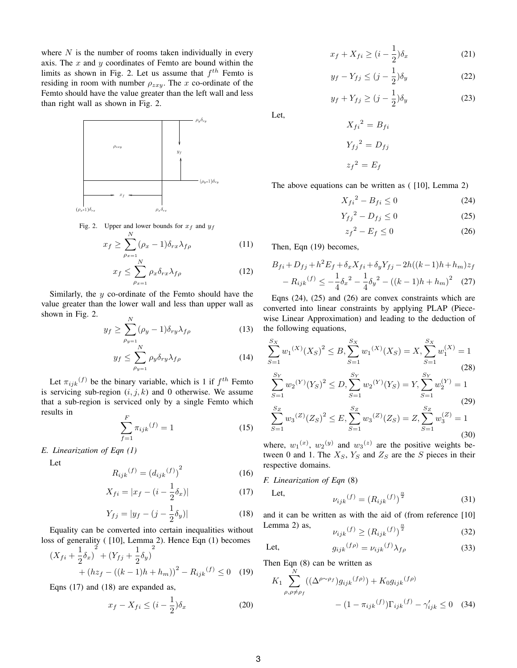where  $N$  is the number of rooms taken individually in every axis. The  $x$  and  $y$  coordinates of Femto are bound within the limits as shown in Fig. 2. Let us assume that  $f^{th}$  Femto is residing in room with number  $\rho_{zxy}$ . The x co-ordinate of the Femto should have the value greater than the left wall and less than right wall as shown in Fig. 2.



Fig. 2. Upper and lower bounds for  $x_f$  and  $y_f$ 

$$
x_f \ge \sum_{\rho_{x=1}}^N (\rho_x - 1) \delta_{rx} \lambda_{f\rho} \tag{11}
$$

$$
x_f \le \sum_{\rho_{x=1}}^N \rho_x \delta_{rx} \lambda_{f\rho} \tag{12}
$$

Similarly, the  $y$  co-ordinate of the Femto should have the value greater than the lower wall and less than upper wall as shown in Fig. 2.  $\mathbf{v}$ 

$$
y_f \ge \sum_{\rho_{y=1}}^N (\rho_y - 1) \delta_{ry} \lambda_{f\rho} \tag{13}
$$

$$
y_f \le \sum_{\rho_{y=1}}^N \rho_y \delta_{ry} \lambda_{f\rho} \tag{14}
$$

Let  $\pi_{ijk}(f)$  be the binary variable, which is 1 if  $f^{th}$  Femto is servicing sub-region  $(i, j, k)$  and 0 otherwise. We assume that a sub-region is serviced only by a single Femto which results in

$$
\sum_{f=1}^{F} \pi_{ijk}(f) = 1
$$
 (15)

## *E. Linearization of Eqn (1)*

Let

$$
R_{ijk}(f) = (d_{ijk}(f))^{2}
$$
 (16)

$$
X_{fi} = |x_f - (i - \frac{1}{2}\delta_x)|
$$
 (17)

$$
Y_{fj} = |y_f - (j - \frac{1}{2}\delta_y)|
$$
 (18)

Equality can be converted into certain inequalities without loss of generality ( [10], Lemma 2). Hence Eqn (1) becomes

$$
(X_{fi} + \frac{1}{2}\delta_x)^2 + (Y_{fj} + \frac{1}{2}\delta_y)^2 + (hz_f - ((k-1)h + h_m))^2 - R_{ijk}(f) \le 0
$$
 (19)

Eqns (17) and (18) are expanded as,

$$
x_f - X_{fi} \le (i - \frac{1}{2})\delta_x \tag{20}
$$

$$
x_f + X_{fi} \ge (i - \frac{1}{2})\delta_x \tag{21}
$$

$$
y_f - Y_{fj} \le (j - \frac{1}{2})\delta_y \tag{22}
$$

$$
y_f + Y_{fj} \ge (j - \frac{1}{2})\delta_y \tag{23}
$$

Let,

 $X_{fi}^{2} = B_{fi}$  $Y_{fj}^{2} = D_{fj}$  $z_f{}^2 = E_f$ 

The above equations can be written as ( [10], Lemma 2)

$$
X_{fi}^2 - B_{fi} \le 0\tag{24}
$$

$$
Y_{fj}^2 - D_{fj} \le 0\tag{25}
$$

$$
z_f^2 - E_f \le 0\tag{26}
$$

Then, Eqn (19) becomes,

$$
B_{fi} + D_{fj} + h^2 E_f + \delta_x X_{fi} + \delta_y Y_{fj} - 2h((k-1)h + h_m)z_f
$$
  
-  $R_{ijk}(f) \le -\frac{1}{4}\delta_x^2 - \frac{1}{4}\delta_y^2 - ((k-1)h + h_m)^2$  (27)

Eqns (24), (25) and (26) are convex constraints which are converted into linear constraints by applying PLAP (Piecewise Linear Approximation) and leading to the deduction of the following equations,

$$
\sum_{S=1}^{S_X} w_1^{(X)}(X_S)^2 \le B, \sum_{S=1}^{S_X} w_1^{(X)}(X_S) = X, \sum_{S=1}^{S_X} w_1^{(X)} = 1
$$
\n
$$
S_Y \qquad S_Y \qquad S_Y \qquad S_Y \qquad (28)
$$

$$
\sum_{S=1}^{S_Y} w_2^{(Y)}(Y_S)^2 \le D, \sum_{S=1}^{S_Y} w_2^{(Y)}(Y_S) = Y, \sum_{S=1}^{S_Y} w_2^{(Y)} = 1
$$
\n
$$
S_Z
$$
\n(29)

$$
\sum_{S=1}^{S_Z} w_3^{(Z)}(Z_S)^2 \le E, \sum_{S=1}^{S_Z} w_3^{(Z)}(Z_S) = Z, \sum_{S=1}^{S_Z} w_3^{(Z)} = 1
$$
\n(30)

where,  $w_1(x)$ ,  $w_2(y)$  and  $w_3(z)$  are the positive weights between 0 and 1. The  $X_S$ ,  $Y_S$  and  $Z_S$  are the S pieces in their respective domains.

## *F. Linearization of Eqn* (8)

Let,

$$
\nu_{ijk}(f) = (R_{ijk}(f))^{\frac{\alpha}{2}} \tag{31}
$$

and it can be written as with the aid of (from reference [10] Lemma 2) as,

$$
\nu_{ijk}(f) \ge \left(R_{ijk}(f)\right)^{\frac{\alpha}{2}}\tag{32}
$$

Let, 
$$
g_{ijk}^{(f\rho)} = \nu_{ijk}^{(f)} \lambda_{f\rho}
$$
 (33)

Then Eqn (8) can be written as

$$
K_1 \sum_{\rho,\rho \neq \rho_f}^{N} ((\Delta^{\rho \sim \rho_f}) g_{ijk}^{(f\rho)}) + K_0 g_{ijk}^{(f\rho)}
$$

$$
- (1 - \pi_{ijk}^{(f)}) \Gamma_{ijk}^{(f)} - \gamma'_{ijk} \leq 0 \quad (34)
$$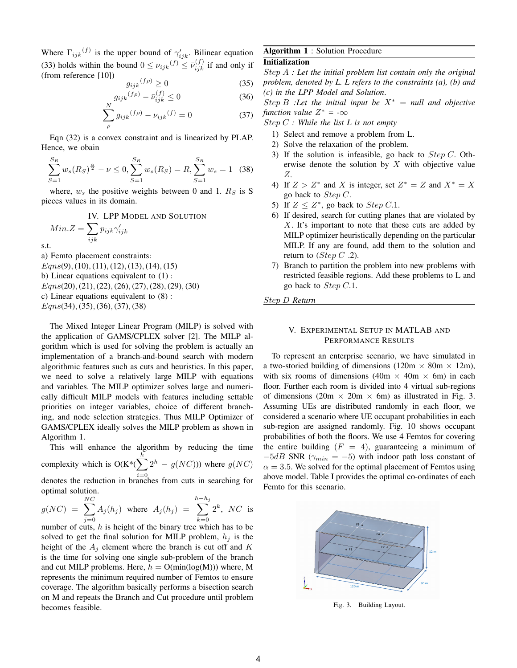Where  $\Gamma_{ijk}^{(f)}$  is the upper bound of  $\gamma'_{ijk}$ . Bilinear equation (33) holds within the bound  $0 \le \nu_{ijk}(f) \le \bar{\nu}_{ijk}^{(f)}$  if and only if (from reference [10])

$$
g_{ijk}(f\rho) \ge 0 \tag{35}
$$

$$
g_{ijk}^{(f\rho)} - \bar{\nu}_{ijk}^{(f)} \le 0 \tag{36}
$$

$$
\sum_{\rho} g_{ijk}{}^{(f\rho)} - \nu_{ijk}{}^{(f)} = 0 \tag{37}
$$

Eqn (32) is a convex constraint and is linearized by PLAP. Hence, we obain

$$
\sum_{S=1}^{S_R} w_s (R_S)^{\frac{\alpha}{2}} - \nu \le 0, \sum_{S=1}^{S_R} w_s (R_S) = R, \sum_{S=1}^{S_R} w_s = 1 \quad (38)
$$

where,  $w_s$  the positive weights between 0 and 1.  $R_s$  is S pieces values in its domain.

IV. LPP MODEL AND SOLUTION

$$
Min.Z = \sum_{ijk} p_{ijk} \gamma'_{ijk}
$$
 s.t.

a) Femto placement constraints:  $Eqns(9)$ , (10), (11), (12), (13), (14), (15) b) Linear equations equivalent to (1) :  $Eqns(20), (21), (22), (26), (27), (28), (29), (30)$ c) Linear equations equivalent to (8) : Eqns(34), (35), (36), (37), (38)

The Mixed Integer Linear Program (MILP) is solved with the application of GAMS/CPLEX solver [2]. The MILP algorithm which is used for solving the problem is actually an implementation of a branch-and-bound search with modern algorithmic features such as cuts and heuristics. In this paper, we need to solve a relatively large MILP with equations and variables. The MILP optimizer solves large and numerically difficult MILP models with features including settable priorities on integer variables, choice of different branching, and node selection strategies. Thus MILP Optimizer of GAMS/CPLEX ideally solves the MILP problem as shown in Algorithm 1.

This will enhance the algorithm by reducing the time complexity which is  $O(K^*(\sum^n$  $i=0$  $2^h - g(NC)$ )) where  $g(NC)$ denotes the reduction in branches from cuts in searching for optimal solution. h

$$
g(NC) = \sum_{j=0}^{NC} A_j(h_j) \text{ where } A_j(h_j) = \sum_{k=0}^{h-h_j} 2^k, NC \text{ is}
$$

number of cuts,  $h$  is height of the binary tree which has to be solved to get the final solution for MILP problem,  $h_j$  is the height of the  $A_j$  element where the branch is cut off and K is the time for solving one single sub-problem of the branch and cut MILP problems. Here,  $h = O(\min(\log(M)))$  where, M represents the minimum required number of Femtos to ensure coverage. The algorithm basically performs a bisection search on M and repeats the Branch and Cut procedure until problem becomes feasible.

# Algorithm 1 : Solution Procedure

## Initialization

Step A *: Let the initial problem list contain only the original problem, denoted by L. L refers to the constraints (a), (b) and (c) in the LPP Model and Solution*.

Step B *:Let the initial input be*  $X^* = \text{null}$  and objective *function value*  $Z^* = -\infty$ 

Step C *: While the list L is not empty*

- 1) Select and remove a problem from L.
- 2) Solve the relaxation of the problem.
- 3) If the solution is infeasible, go back to  $Step C$ . Otherwise denote the solution by  $X$  with objective value Z.
- 4) If  $Z > Z^*$  and X is integer, set  $Z^* = Z$  and  $X^* = X$ go back to  $Step C$ .
- 5) If  $Z \leq Z^*$ , go back to  $Step C.1$ .
- 6) If desired, search for cutting planes that are violated by  $X$ . It's important to note that these cuts are added by MILP optimizer heuristically depending on the particular MILP. If any are found, add them to the solution and return to (*Step C* .2).
- 7) Branch to partition the problem into new problems with restricted feasible regions. Add these problems to L and go back to Step C.1.

Step D *Return*

## V. EXPERIMENTAL SETUP IN MATLAB AND PERFORMANCE RESULTS

To represent an enterprise scenario, we have simulated in a two-storied building of dimensions (120m  $\times$  80m  $\times$  12m), with six rooms of dimensions (40m  $\times$  40m  $\times$  6m) in each floor. Further each room is divided into 4 virtual sub-regions of dimensions (20m  $\times$  20m  $\times$  6m) as illustrated in Fig. 3. Assuming UEs are distributed randomly in each floor, we considered a scenario where UE occupant probabilities in each sub-region are assigned randomly. Fig. 10 shows occupant probabilities of both the floors. We use 4 Femtos for covering the entire building  $(F = 4)$ , guaranteeing a minimum of  $-5dB$  SNR ( $\gamma_{min} = -5$ ) with indoor path loss constant of  $\alpha = 3.5$ . We solved for the optimal placement of Femtos using above model. Table I provides the optimal co-ordinates of each Femto for this scenario.



Fig. 3. Building Layout.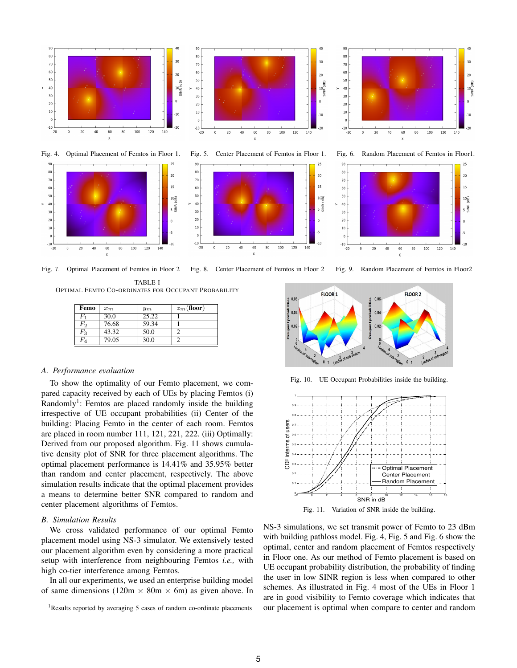

TABLE I

|                   |       | <b>OPTIMAL FEMTO CO-ORDINATES FOR OCCUPANT PROBABILITY</b> |  |
|-------------------|-------|------------------------------------------------------------|--|
| <b>Femo</b> $x_m$ | $y_m$ | $z_m$ (floor)                                              |  |

| т спіч             | $\iota_m$ | $_{\rm ym}$ | $\omega_m$ (11001) |
|--------------------|-----------|-------------|--------------------|
| $_{F_1}$           | 30.0      | 25.22       |                    |
| $\scriptstyle F_2$ | 76.68     | 59.34       |                    |
| $\scriptstyle F_3$ | 43.32     | 50.0        |                    |
| $\scriptstyle F_4$ | 79.05     | 30.0        |                    |
|                    |           |             |                    |

## *A. Performance evaluation*

To show the optimality of our Femto placement, we compared capacity received by each of UEs by placing Femtos (i) Randomly<sup>1</sup>: Femtos are placed randomly inside the building irrespective of UE occupant probabilities (ii) Center of the building: Placing Femto in the center of each room. Femtos are placed in room number 111, 121, 221, 222. (iii) Optimally: Derived from our proposed algorithm. Fig. 11 shows cumulative density plot of SNR for three placement algorithms. The optimal placement performance is 14.41% and 35.95% better than random and center placement, respectively. The above simulation results indicate that the optimal placement provides a means to determine better SNR compared to random and center placement algorithms of Femtos.

## *B. Simulation Results*

We cross validated performance of our optimal Femto placement model using NS-3 simulator. We extensively tested our placement algorithm even by considering a more practical setup with interference from neighbouring Femtos *i.e.,* with high co-tier interference among Femtos.

In all our experiments, we used an enterprise building model of same dimensions (120m  $\times$  80m  $\times$  6m) as given above. In

<sup>1</sup>Results reported by averaging 5 cases of random co-ordinate placements

Fig. 7. Optimal Placement of Femtos in Floor 2 Fig. 8. Center Placement of Femtos in Floor 2 Fig. 9. Random Placement of Femtos in Floor2



Fig. 10. UE Occupant Probabilities inside the building.





NS-3 simulations, we set transmit power of Femto to 23 dBm with building pathloss model. Fig. 4, Fig. 5 and Fig. 6 show the optimal, center and random placement of Femtos respectively in Floor one. As our method of Femto placement is based on UE occupant probability distribution, the probability of finding the user in low SINR region is less when compared to other schemes. As illustrated in Fig. 4 most of the UEs in Floor 1 are in good visibility to Femto coverage which indicates that our placement is optimal when compare to center and random